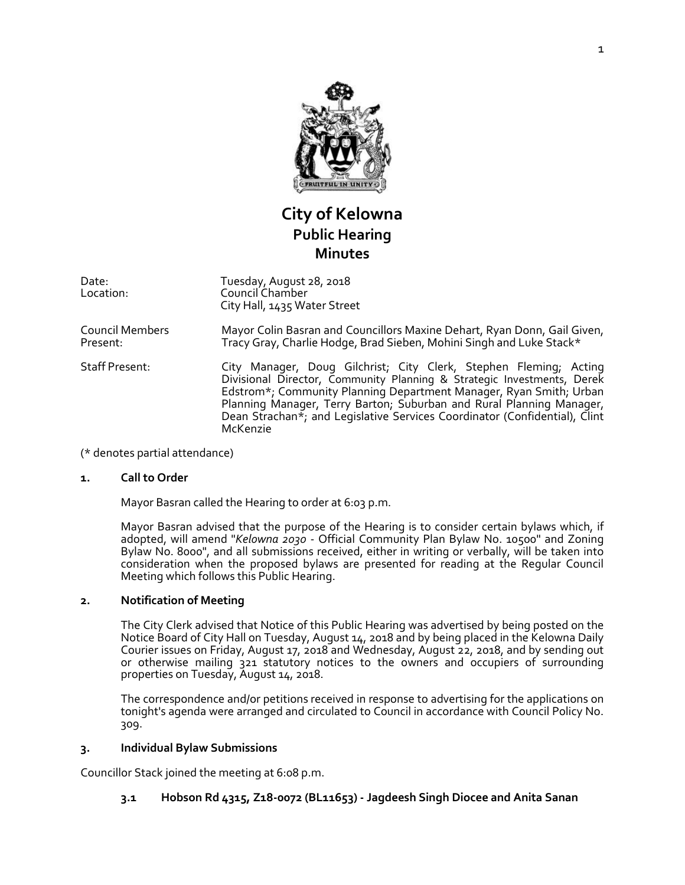

# **City of Kelowna Public Hearing Minutes**

Date: Location: Tuesday, August 28, 2018 Council Chamber City Hall, 1435 Water Street

Council Members Present: Mayor Colin Basran and Councillors Maxine Dehart, Ryan Donn, Gail Given, Tracy Gray, Charlie Hodge, Brad Sieben, Mohini Singh and Luke Stack\*

Staff Present: City Manager, Doug Gilchrist; City Clerk, Stephen Fleming; Acting Divisional Director, Community Planning & Strategic Investments, Derek Edstrom\*; Community Planning Department Manager, Ryan Smith; Urban Planning Manager, Terry Barton; Suburban and Rural Planning Manager, Dean Strachan\*; and Legislative Services Coordinator (Confidential), Clint McKenzie

(\* denotes partial attendance)

#### **1. Call to Order**

Mayor Basran called the Hearing to order at 6:03 p.m.

Mayor Basran advised that the purpose of the Hearing is to consider certain bylaws which, if adopted, will amend "*Kelowna 2030* - Official Community Plan Bylaw No. 10500" and Zoning Bylaw No. 8000", and all submissions received, either in writing or verbally, will be taken into consideration when the proposed bylaws are presented for reading at the Regular Council Meeting which follows this Public Hearing.

#### **2. Notification of Meeting**

The City Clerk advised that Notice of this Public Hearing was advertised by being posted on the Notice Board of City Hall on Tuesday, August 14, 2018 and by being placed in the Kelowna Daily Courier issues on Friday, August 17, 2018 and Wednesday, August 22, 2018, and by sending out or otherwise mailing 321 statutory notices to the owners and occupiers of surrounding properties on Tuesday, August 14, 2018.

The correspondence and/or petitions received in response to advertising for the applications on tonight's agenda were arranged and circulated to Council in accordance with Council Policy No. 309.

#### **3. Individual Bylaw Submissions**

Councillor Stack joined the meeting at 6:08 p.m.

## **3.1 Hobson Rd 4315, Z18-0072 (BL11653) - Jagdeesh Singh Diocee and Anita Sanan**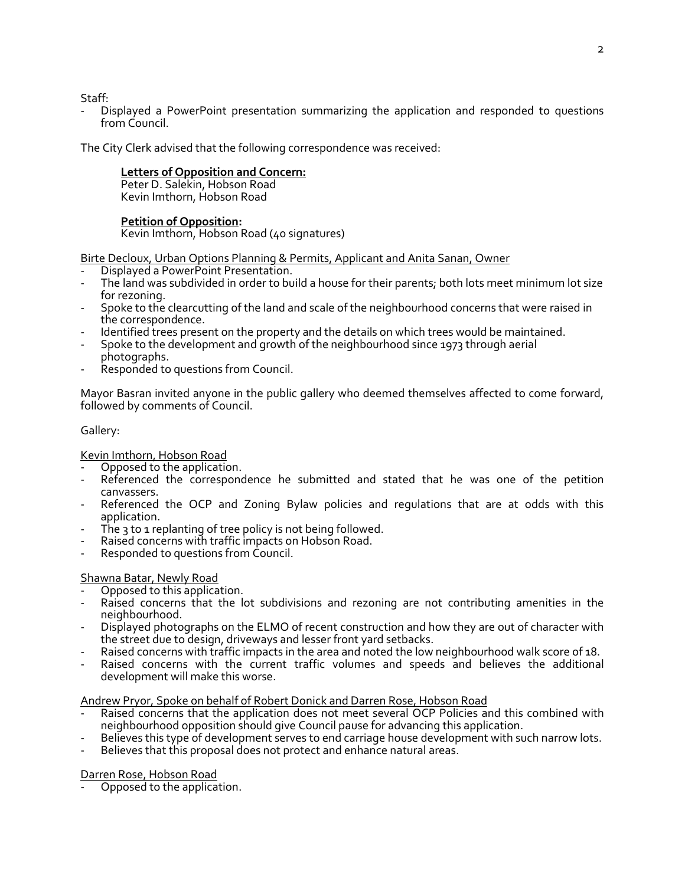Staff:

- Displayed a PowerPoint presentation summarizing the application and responded to questions from Council.

The City Clerk advised that the following correspondence was received:

# **Letters of Opposition and Concern:**

Peter D. Salekin, Hobson Road Kevin Imthorn, Hobson Road

# **Petition of Opposition:**

Kevin Imthorn, Hobson Road (40 signatures)

Birte Decloux, Urban Options Planning & Permits, Applicant and Anita Sanan, Owner

- Displayed a PowerPoint Presentation.
- The land was subdivided in order to build a house for their parents; both lots meet minimum lot size for rezoning.
- Spoke to the clearcutting of the land and scale of the neighbourhood concerns that were raised in the correspondence.
- Identified trees present on the property and the details on which trees would be maintained.
- Spoke to the development and growth of the neighbourhood since 1973 through aerial photographs.
- Responded to questions from Council.

Mayor Basran invited anyone in the public gallery who deemed themselves affected to come forward, followed by comments of Council.

# Gallery:

## Kevin Imthorn, Hobson Road

- Opposed to the application.
- Referenced the correspondence he submitted and stated that he was one of the petition canvassers.
- Referenced the OCP and Zoning Bylaw policies and regulations that are at odds with this application.
- The 3 to 1 replanting of tree policy is not being followed.
- Raised concerns with traffic impacts on Hobson Road.
- Responded to questions from Council.

# Shawna Batar, Newly Road

- Opposed to this application.
- Raised concerns that the lot subdivisions and rezoning are not contributing amenities in the neighbourhood.
- Displayed photographs on the ELMO of recent construction and how they are out of character with the street due to design, driveways and lesser front yard setbacks.
- Raised concerns with traffic impacts in the area and noted the low neighbourhood walk score of 18.
- Raised concerns with the current traffic volumes and speeds and believes the additional development will make this worse.

## Andrew Pryor, Spoke on behalf of Robert Donick and Darren Rose, Hobson Road

- Raised concerns that the application does not meet several OCP Policies and this combined with neighbourhood opposition should give Council pause for advancing this application.
- Believes this type of development serves to end carriage house development with such narrow lots.
- Believes that this proposal does not protect and enhance natural areas.

## Darren Rose, Hobson Road

Opposed to the application.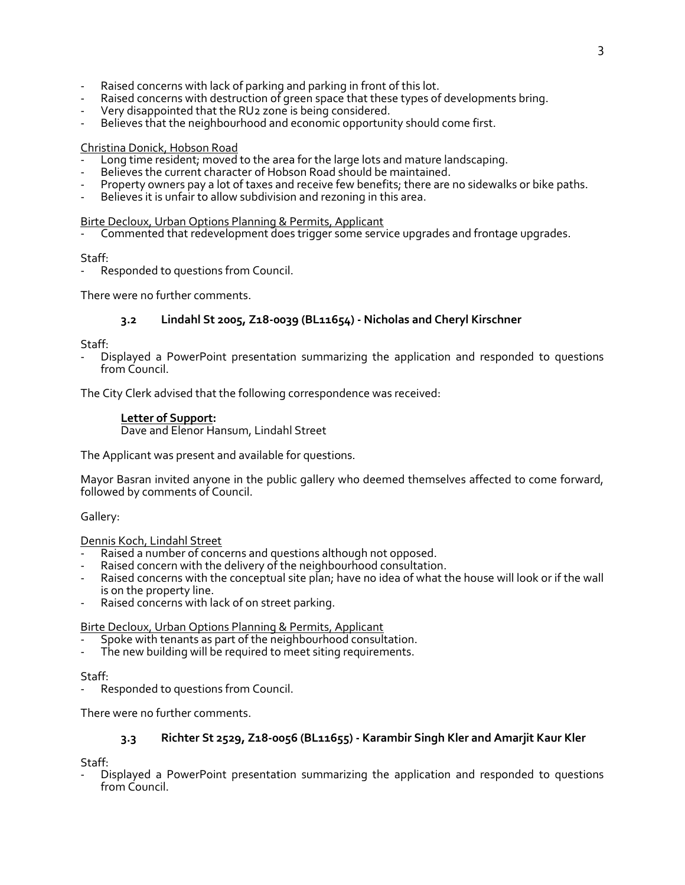- Raised concerns with lack of parking and parking in front of this lot.
- Raised concerns with destruction of green space that these types of developments bring.
- Very disappointed that the RU2 zone is being considered.
- Believes that the neighbourhood and economic opportunity should come first.

#### Christina Donick, Hobson Road

- Long time resident; moved to the area for the large lots and mature landscaping.
- Believes the current character of Hobson Road should be maintained.
- Property owners pay a lot of taxes and receive few benefits; there are no sidewalks or bike paths.
- Believes it is unfair to allow subdivision and rezoning in this area.

#### Birte Decloux, Urban Options Planning & Permits, Applicant

Commented that redevelopment does trigger some service upgrades and frontage upgrades.

Staff:

Responded to questions from Council.

There were no further comments.

# **3.2 Lindahl St 2005, Z18-0039 (BL11654) - Nicholas and Cheryl Kirschner**

Staff:

- Displayed a PowerPoint presentation summarizing the application and responded to questions from Council.

The City Clerk advised that the following correspondence was received:

#### **Letter of Support:**

Dave and Elenor Hansum, Lindahl Street

The Applicant was present and available for questions.

Mayor Basran invited anyone in the public gallery who deemed themselves affected to come forward, followed by comments of Council.

Gallery:

Dennis Koch, Lindahl Street

- Raised a number of concerns and questions although not opposed.
- Raised concern with the delivery of the neighbourhood consultation.
- Raised concerns with the conceptual site plan; have no idea of what the house will look or if the wall is on the property line.
- Raised concerns with lack of on street parking.

#### Birte Decloux, Urban Options Planning & Permits, Applicant

- Spoke with tenants as part of the neighbourhood consultation.
- The new building will be required to meet siting requirements.

Staff:

Responded to questions from Council.

There were no further comments.

# **3.3 Richter St 2529, Z18-0056 (BL11655) - Karambir Singh Kler and Amarjit Kaur Kler**

Staff:

- Displayed a PowerPoint presentation summarizing the application and responded to questions from Council.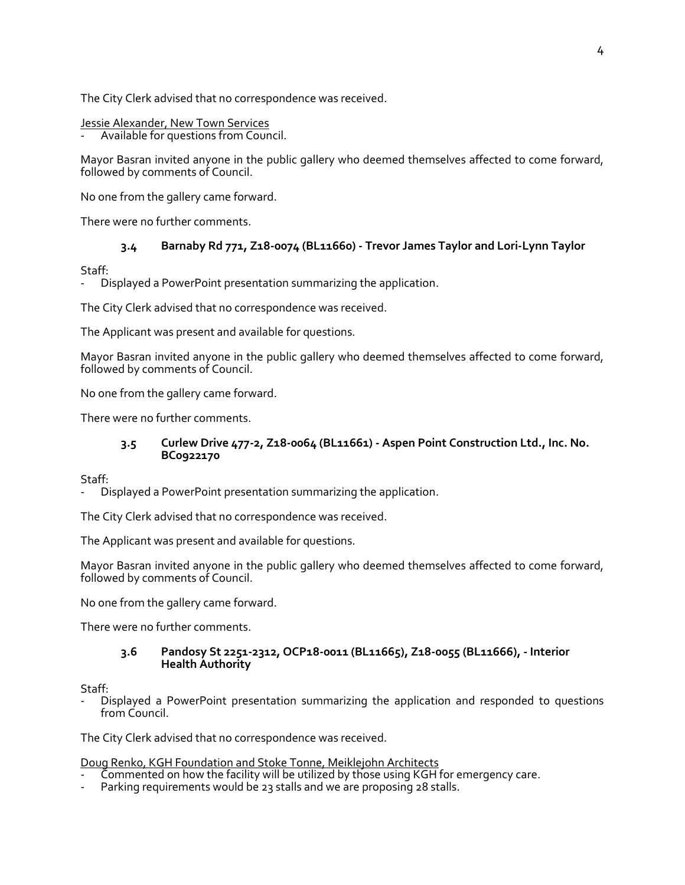The City Clerk advised that no correspondence was received.

#### Jessie Alexander, New Town Services

Available for questions from Council.

Mayor Basran invited anyone in the public gallery who deemed themselves affected to come forward, followed by comments of Council.

No one from the gallery came forward.

There were no further comments.

# **3.4 Barnaby Rd 771, Z18-0074 (BL11660) - Trevor James Taylor and Lori-Lynn Taylor**

Staff:

Displayed a PowerPoint presentation summarizing the application.

The City Clerk advised that no correspondence was received.

The Applicant was present and available for questions.

Mayor Basran invited anyone in the public gallery who deemed themselves affected to come forward, followed by comments of Council.

No one from the gallery came forward.

There were no further comments.

# **3.5 Curlew Drive 477-2, Z18-0064 (BL11661) - Aspen Point Construction Ltd., Inc. No. BC0922170**

Staff:

Displayed a PowerPoint presentation summarizing the application.

The City Clerk advised that no correspondence was received.

The Applicant was present and available for questions.

Mayor Basran invited anyone in the public gallery who deemed themselves affected to come forward, followed by comments of Council.

No one from the gallery came forward.

There were no further comments.

## **3.6 Pandosy St 2251-2312, OCP18-0011 (BL11665), Z18-0055 (BL11666), - Interior Health Authority**

Staff:

- Displayed a PowerPoint presentation summarizing the application and responded to questions from Council.

The City Clerk advised that no correspondence was received.

Doug Renk0, KGH Foundation and Stoke Tonne, Meiklejohn Architects

- Commented on how the facility will be utilized by those using KGH for emergency care.
- Parking requirements would be 23 stalls and we are proposing 28 stalls.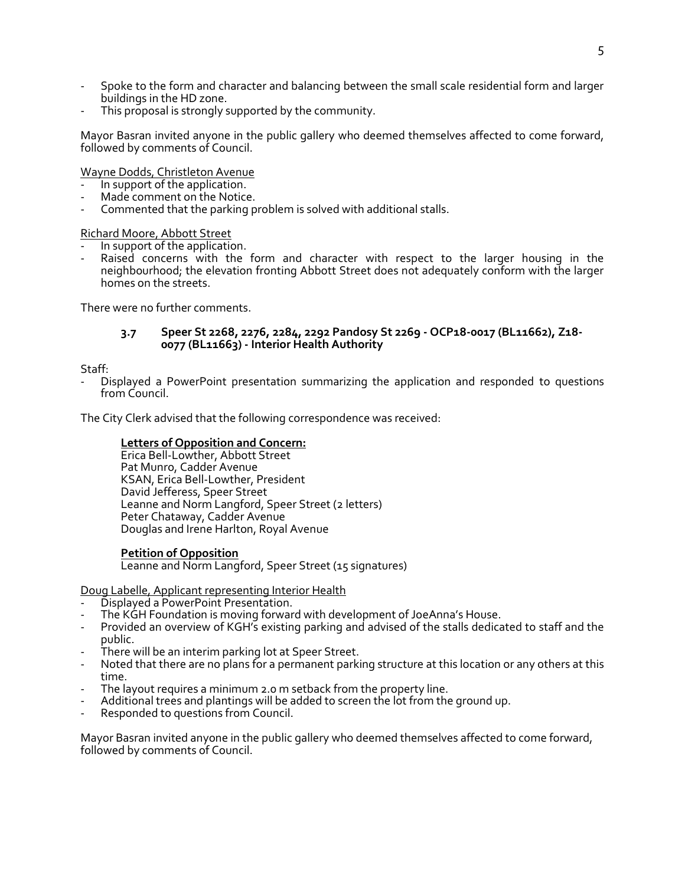- Spoke to the form and character and balancing between the small scale residential form and larger buildings in the HD zone.
- This proposal is strongly supported by the community.

Mayor Basran invited anyone in the public gallery who deemed themselves affected to come forward, followed by comments of Council.

Wayne Dodds, Christleton Avenue

- In support of the application.
- Made comment on the Notice.
- Commented that the parking problem is solved with additional stalls.

# Richard Moore, Abbott Street

- In support of the application.
- Raised concerns with the form and character with respect to the larger housing in the neighbourhood; the elevation fronting Abbott Street does not adequately conform with the larger homes on the streets.

There were no further comments.

## **3.7 Speer St 2268, 2276, 2284, 2292 Pandosy St 2269 - OCP18-0017 (BL11662), Z18- 0077 (BL11663) - Interior Health Authority**

Staff:

- Displayed a PowerPoint presentation summarizing the application and responded to questions from Council.

The City Clerk advised that the following correspondence was received:

# **Letters of Opposition and Concern:**

Erica Bell-Lowther, Abbott Street Pat Munro, Cadder Avenue KSAN, Erica Bell-Lowther, President David Jefferess, Speer Street Leanne and Norm Langford, Speer Street (2 letters) Peter Chataway, Cadder Avenue Douglas and Irene Harlton, Royal Avenue

## **Petition of Opposition**

Leanne and Norm Langford, Speer Street (15 signatures)

Doug Labelle, Applicant representing Interior Health

- Displayed a PowerPoint Presentation.
- The KGH Foundation is moving forward with development of JoeAnna's House.
- Provided an overview of KGH's existing parking and advised of the stalls dedicated to staff and the public.
- There will be an interim parking lot at Speer Street.
- Noted that there are no plans for a permanent parking structure at this location or any others at this time.
- The layout requires a minimum 2.0 m setback from the property line.
- Additional trees and plantings will be added to screen the lot from the ground up.
- Responded to questions from Council.

Mayor Basran invited anyone in the public gallery who deemed themselves affected to come forward, followed by comments of Council.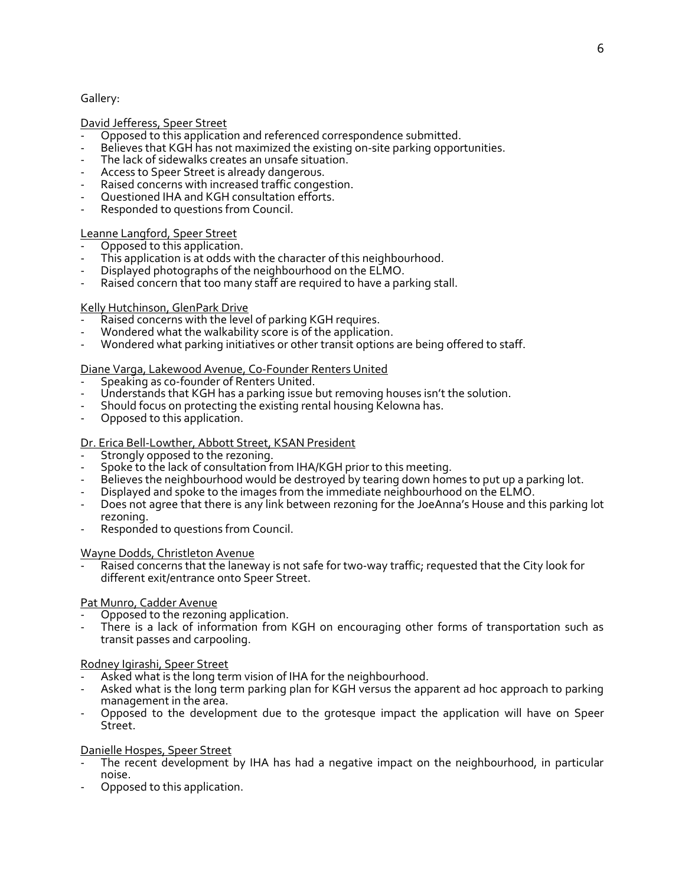## Gallery:

## David Jefferess, Speer Street

- Opposed to this application and referenced correspondence submitted.
- Believes that KGH has not maximized the existing on-site parking opportunities.
- The lack of sidewalks creates an unsafe situation.
- Access to Speer Street is already dangerous.
- Raised concerns with increased traffic congestion.
- Questioned IHA and KGH consultation efforts.
- Responded to questions from Council.

# Leanne Langford, Speer Street

- Opposed to this application.
- This application is at odds with the character of this neighbourhood.
- Displayed photographs of the neighbourhood on the ELMO.
- Raised concern that too many staff are required to have a parking stall.

# Kelly Hutchinson, GlenPark Drive

- Raised concerns with the level of parking KGH requires.
- Wondered what the walkability score is of the application.
- Wondered what parking initiatives or other transit options are being offered to staff.

# Diane Varga, Lakewood Avenue, Co-Founder Renters United

- Speaking as co-founder of Renters United.
- Understands that KGH has a parking issue but removing houses isn't the solution.
- Should focus on protecting the existing rental housing Kelowna has.
- Opposed to this application.

# Dr. Erica Bell-Lowther, Abbott Street, KSAN President

- Strongly opposed to the rezoning.
- Spoke to the lack of consultation from IHA/KGH prior to this meeting.
- Believes the neighbourhood would be destroyed by tearing down homes to put up a parking lot.
- Displayed and spoke to the images from the immediate neighbourhood on the ELMO.
- Does not agree that there is any link between rezoning for the JoeAnna's House and this parking lot rezoning.
- Responded to questions from Council.

## Wayne Dodds, Christleton Avenue

Raised concerns that the laneway is not safe for two-way traffic; requested that the City look for different exit/entrance onto Speer Street.

## Pat Munro, Cadder Avenue

- Opposed to the rezoning application.
- There is a lack of information from KGH on encouraging other forms of transportation such as transit passes and carpooling.

# Rodney Igirashi, Speer Street

- Asked what is the long term vision of IHA for the neighbourhood.
- Asked what is the long term parking plan for KGH versus the apparent ad hoc approach to parking management in the area.
- Opposed to the development due to the grotesque impact the application will have on Speer Street.

## Danielle Hospes, Speer Street

- The recent development by IHA has had a negative impact on the neighbourhood, in particular noise.
- Opposed to this application.